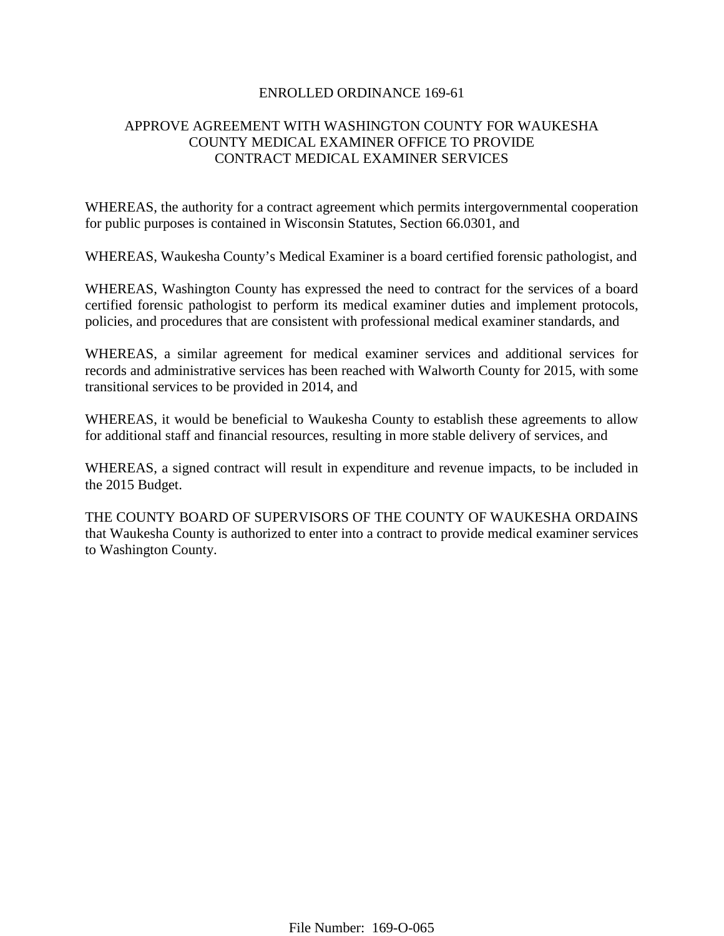## ENROLLED ORDINANCE 169-61

# APPROVE AGREEMENT WITH WASHINGTON COUNTY FOR WAUKESHA COUNTY MEDICAL EXAMINER OFFICE TO PROVIDE CONTRACT MEDICAL EXAMINER SERVICES

WHEREAS, the authority for a contract agreement which permits intergovernmental cooperation for public purposes is contained in Wisconsin Statutes, Section 66.0301, and

WHEREAS, Waukesha County's Medical Examiner is a board certified forensic pathologist, and

WHEREAS, Washington County has expressed the need to contract for the services of a board certified forensic pathologist to perform its medical examiner duties and implement protocols, policies, and procedures that are consistent with professional medical examiner standards, and

WHEREAS, a similar agreement for medical examiner services and additional services for records and administrative services has been reached with Walworth County for 2015, with some transitional services to be provided in 2014, and

WHEREAS, it would be beneficial to Waukesha County to establish these agreements to allow for additional staff and financial resources, resulting in more stable delivery of services, and

WHEREAS, a signed contract will result in expenditure and revenue impacts, to be included in the 2015 Budget.

THE COUNTY BOARD OF SUPERVISORS OF THE COUNTY OF WAUKESHA ORDAINS that Waukesha County is authorized to enter into a contract to provide medical examiner services to Washington County.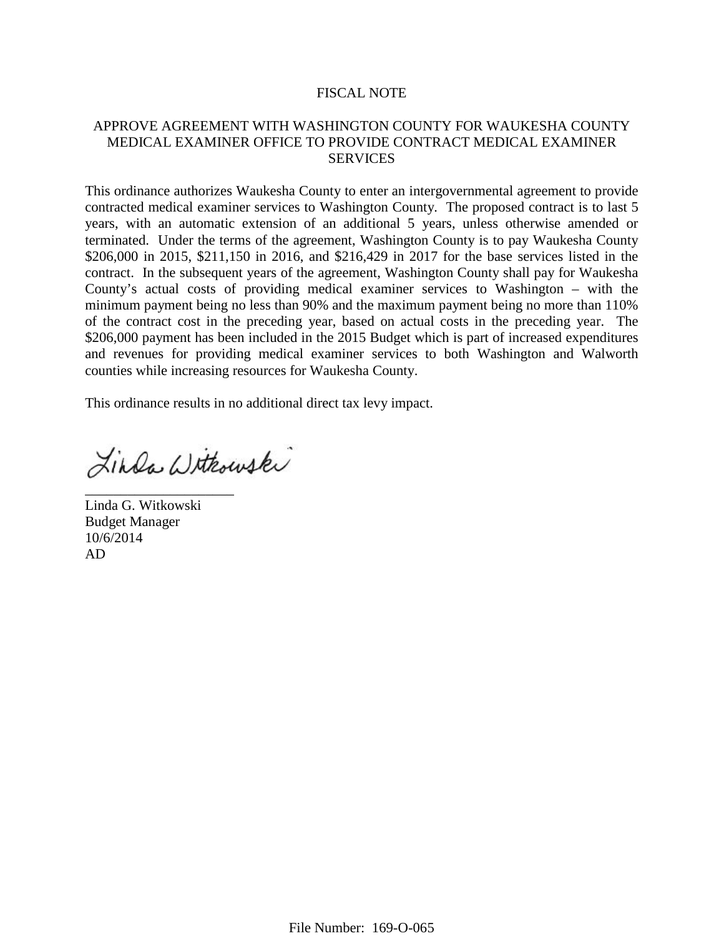### FISCAL NOTE

## APPROVE AGREEMENT WITH WASHINGTON COUNTY FOR WAUKESHA COUNTY MEDICAL EXAMINER OFFICE TO PROVIDE CONTRACT MEDICAL EXAMINER **SERVICES**

This ordinance authorizes Waukesha County to enter an intergovernmental agreement to provide contracted medical examiner services to Washington County. The proposed contract is to last 5 years, with an automatic extension of an additional 5 years, unless otherwise amended or terminated. Under the terms of the agreement, Washington County is to pay Waukesha County \$206,000 in 2015, \$211,150 in 2016, and \$216,429 in 2017 for the base services listed in the contract. In the subsequent years of the agreement, Washington County shall pay for Waukesha County's actual costs of providing medical examiner services to Washington – with the minimum payment being no less than 90% and the maximum payment being no more than 110% of the contract cost in the preceding year, based on actual costs in the preceding year. The \$206,000 payment has been included in the 2015 Budget which is part of increased expenditures and revenues for providing medical examiner services to both Washington and Walworth counties while increasing resources for Waukesha County.

This ordinance results in no additional direct tax levy impact.

Linda Withouski

Linda G. Witkowski Budget Manager 10/6/2014 AD

\_\_\_\_\_\_\_\_\_\_\_\_\_\_\_\_\_\_\_\_\_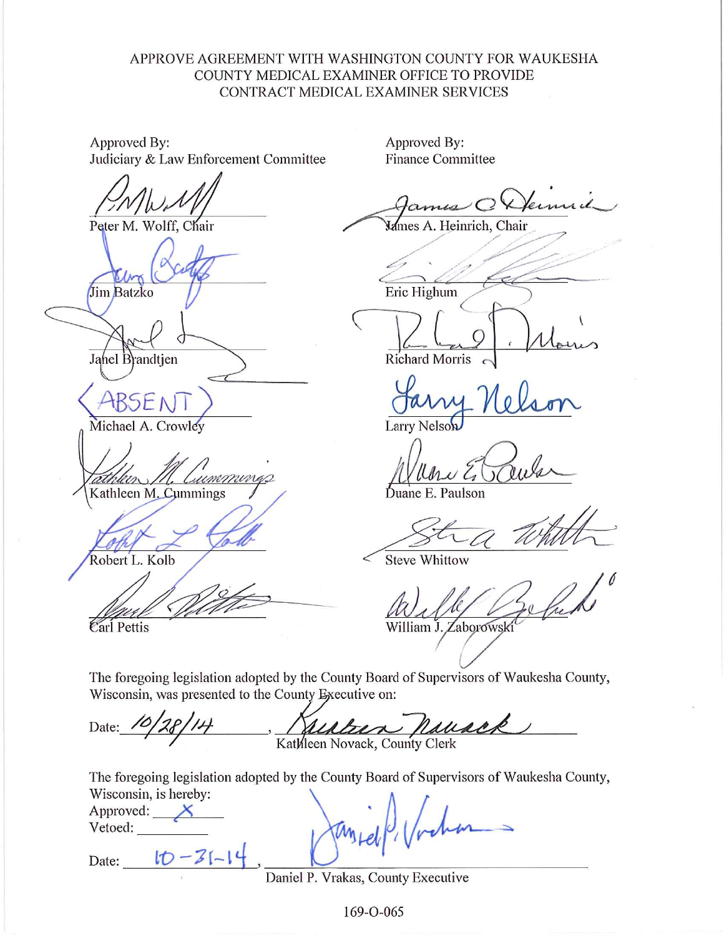# APPROVE AGREEMENT WITH WASHINGTON COUNTY FOR WAUKESHA COUNTY MEDICAL EXAMINER OFFICE TO PROVIDE CONTRACT MEDICAL EXAMINER SERVICES

Approved By: Judiciary & Law Enforcement Committee

Peter M. Wolff, Chair

Jim Batzko

Jahel Brandtjen

Michael A. Crowley

(umminas  $\mathscr{P}$ Kathleen M. Cummings

Robert L. Kolb

Carl Pettis

Approved By: **Finance Committee** 

Mames A. Heinrich, Chair

Eric Highum

Richard Morris

**Larry Nelson** 

Juane E. Paulson

**Steve Whittow** 

William J. Zaborowski

The foregoing legislation adopted by the County Board of Supervisors of Waukesha County, Wisconsin, was presented to the County Executive on:

esteen pousek Date: Kathleen Novack, County Clerk

The foregoing legislation adopted by the County Board of Supervisors of Waukesha County, Wisconsin, is hereby:

| Approved: |  |  |
|-----------|--|--|
| Vetoed:   |  |  |

to Date:

Daniel P. Vrakas, County Executive

169-0-065